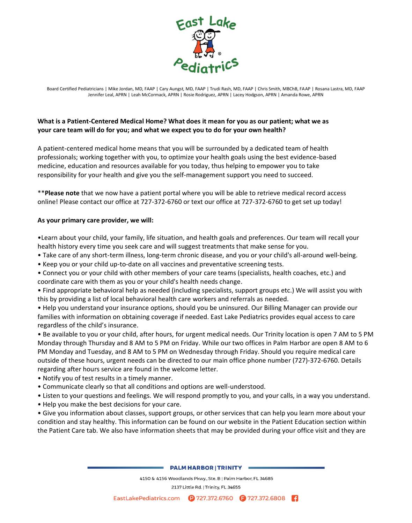

Board Certified Pediatricians | Mike Jordan, MD, FAAP | Cary Aungst, MD, FAAP | Trudi Rash, MD, FAAP | Chris Smith, MBChB, FAAP | Rosana Lastra, MD, FAAP Jennifer Leal, APRN | Leah McCormack, APRN | Rosie Rodriguez, APRN | Lacey Hodgson, APRN | Amanda Rowe, APRN

# **What is a Patient-Centered Medical Home? What does it mean for you as our patient; what we as your care team will do for you; and what we expect you to do for your own health?**

A patient-centered medical home means that you will be surrounded by a dedicated team of health professionals; working together with you, to optimize your health goals using the best evidence-based medicine, education and resources available for you today, thus helping to empower you to take responsibility for your health and give you the self-management support you need to succeed.

\*\***Please note** that we now have a patient portal where you will be able to retrieve medical record access online! Please contact our office at 727-372-6760 or text our office at 727-372-6760 to get set up today!

### **As your primary care provider, we will:**

•Learn about your child, your family, life situation, and health goals and preferences. Our team will recall your health history every time you seek care and will suggest treatments that make sense for you.

- Take care of any short-term illness, long-term chronic disease, and you or your child's all-around well-being.
- Keep you or your child up-to-date on all vaccines and preventative screening tests.
- Connect you or your child with other members of your care teams (specialists, health coaches, etc.) and coordinate care with them as you or your child's health needs change.
- Find appropriate behavioral help as needed (including specialists, support groups etc.) We will assist you with this by providing a list of local behavioral health care workers and referrals as needed.

• Help you understand your insurance options, should you be uninsured. Our Billing Manager can provide our families with information on obtaining coverage if needed. East Lake Pediatrics provides equal access to care regardless of the child's insurance.

• Be available to you or your child, after hours, for urgent medical needs. Our Trinity location is open 7 AM to 5 PM Monday through Thursday and 8 AM to 5 PM on Friday. While our two offices in Palm Harbor are open 8 AM to 6 PM Monday and Tuesday, and 8 AM to 5 PM on Wednesday through Friday. Should you require medical care outside of these hours, urgent needs can be directed to our main office phone number (727)-372-6760. Details regarding after hours service are found in the welcome letter.

- Notify you of test results in a timely manner.
- Communicate clearly so that all conditions and options are well-understood.
- Listen to your questions and feelings. We will respond promptly to you, and your calls, in a way you understand.
- Help you make the best decisions for your care.

• Give you information about classes, support groups, or other services that can help you learn more about your condition and stay healthy. This information can be found on our website in the Patient Education section within the Patient Care tab. We also have information sheets that may be provided during your office visit and they are

#### **PALM HARBOR | TRINITY =**

4150 & 4156 Woodlands Pkwy., Ste. B | Palm Harbor, FL 34685 2137 Little Rd. | Trinity, FL 34655